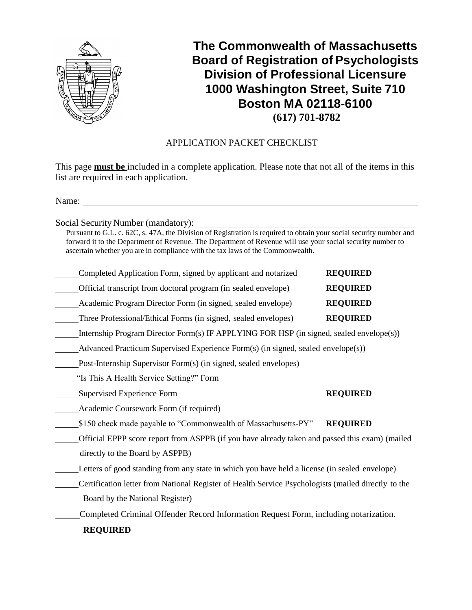

**The Commonwealth of Massachusetts Board of Registration of Psychologists Division of Professional Licensure 1000 Washington Street, Suite 710 Boston MA 02118-6100 (617) 701-8782**

# APPLICATION PACKET CHECKLIST

This page **must be** included in a complete application. Please note that not all of the items in this list are required in each application.

Name: when  $\blacksquare$ 

Social Security Number (mandatory):

Pursuant to G.L. c. 62C, s. 47A, the Division of Registration is required to obtain your social security number and forward it to the Department of Revenue. The Department of Revenue will use your social security number to ascertain whether you are in compliance with the tax laws of the Commonwealth.

| Completed Application Form, signed by applicant and notarized  | <b>REQUIRED</b> |
|----------------------------------------------------------------|-----------------|
| Official transcript from doctoral program (in sealed envelope) | <b>REQUIRED</b> |
| Academic Program Director Form (in signed, sealed envelope)    | <b>REQUIRED</b> |
| Three Professional/Ethical Forms (in signed, sealed envelopes) | <b>REQUIRED</b> |

Internship Program Director Form(s) IF APPLYING FOR HSP (in signed, sealed envelope(s))

Advanced Practicum Supervised Experience Form(s) (in signed, sealed envelope(s))

Post-Internship Supervisor Form(s) (in signed, sealed envelopes)

"Is This A Health Service Setting?" Form

**Supervised Experience Form REQUIRED** 

**Academic Coursework Form (if required)** 

\$150 check made payable to "Commonwealth of Massachusetts-PY" **REQUIRED**

Official EPPP score report from ASPPB (if you have already taken and passed this exam) (mailed directly to the Board by ASPPB)

Letters of good standing from any state in which you have held a license (in sealed envelope)

Certification letter from National Register of Health Service Psychologists (mailed directly to the Board by the National Register)

Completed Criminal Offender Record Information Request Form, including notarization.

**REQUIRED**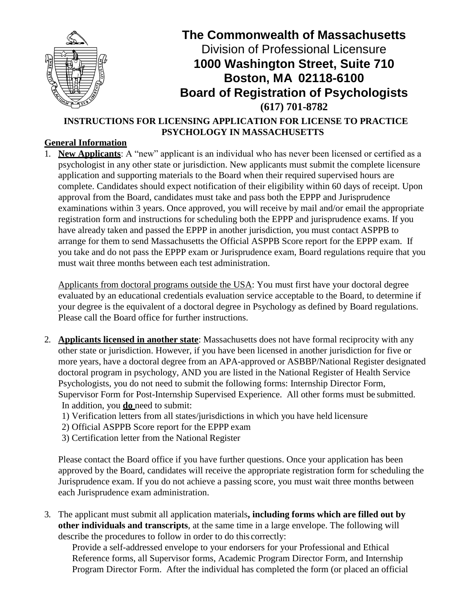

**INSTRUCTIONS FOR LICENSING APPLICATION FOR LICENSE TO PRACTICE PSYCHOLOGY IN MASSACHUSETTS**

# **General Information**

1. **New Applicants**: A "new" applicant is an individual who has never been licensed or certified as a psychologist in any other state or jurisdiction. New applicants must submit the complete licensure application and supporting materials to the Board when their required supervised hours are complete. Candidates should expect notification of their eligibility within 60 days of receipt. Upon approval from the Board, candidates must take and pass both the EPPP and Jurisprudence examinations within 3 years. Once approved, you will receive by mail and/or email the appropriate registration form and instructions for scheduling both the EPPP and jurisprudence exams. If you have already taken and passed the EPPP in another jurisdiction, you must contact ASPPB to arrange for them to send Massachusetts the Official ASPPB Score report for the EPPP exam. If you take and do not pass the EPPP exam or Jurisprudence exam, Board regulations require that you must wait three months between each test administration.

Applicants from doctoral programs outside the USA: You must first have your doctoral degree evaluated by an educational credentials evaluation service acceptable to the Board, to determine if your degree is the equivalent of a doctoral degree in Psychology as defined by Board regulations. Please call the Board office for further instructions.

- 2. **Applicants licensed in another state**: Massachusetts does not have formal reciprocity with any other state or jurisdiction. However, if you have been licensed in another jurisdiction for five or more years, have a doctoral degree from an APA-approved or ASBBP/National Register designated doctoral program in psychology, AND you are listed in the National Register of Health Service Psychologists, you do not need to submit the following forms: Internship Director Form, Supervisor Form for Post-Internship Supervised Experience. All other forms must be submitted. In addition, you **do** need to submit:
	- 1) Verification letters from all states/jurisdictions in which you have held licensure
	- 2) Official ASPPB Score report for the EPPP exam
	- 3) Certification letter from the National Register

Please contact the Board office if you have further questions. Once your application has been approved by the Board, candidates will receive the appropriate registration form for scheduling the Jurisprudence exam. If you do not achieve a passing score, you must wait three months between each Jurisprudence exam administration.

3. The applicant must submit all application materials**, including forms which are filled out by other individuals and transcripts**, at the same time in a large envelope. The following will describe the procedures to follow in order to do this correctly:

Provide a self-addressed envelope to your endorsers for your Professional and Ethical Reference forms, all Supervisor forms, Academic Program Director Form, and Internship Program Director Form. After the individual has completed the form (or placed an official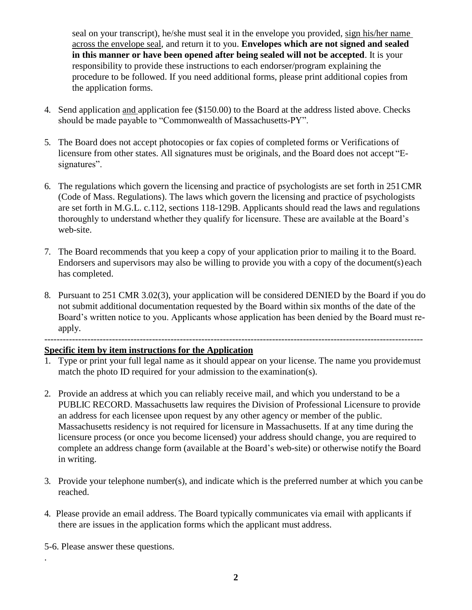seal on your transcript), he/she must seal it in the envelope you provided, sign his/her name across the envelope seal, and return it to you. **Envelopes which are not signed and sealed in this manner or have been opened after being sealed will not be accepted**. It is your responsibility to provide these instructions to each endorser/program explaining the procedure to be followed. If you need additional forms, please print additional copies from the application forms.

- 4. Send application and application fee (\$150.00) to the Board at the address listed above. Checks should be made payable to "Commonwealth of Massachusetts-PY".
- 5. The Board does not accept photocopies or fax copies of completed forms or Verifications of licensure from other states. All signatures must be originals, and the Board does not accept "Esignatures".
- 6. The regulations which govern the licensing and practice of psychologists are set forth in 251CMR (Code of Mass. Regulations). The laws which govern the licensing and practice of psychologists are set forth in M.G.L. c.112, sections 118-129B. Applicants should read the laws and regulations thoroughly to understand whether they qualify for licensure. These are available at the Board's web-site.
- 7. The Board recommends that you keep a copy of your application prior to mailing it to the Board. Endorsers and supervisors may also be willing to provide you with a copy of the document(s) each has completed.
- 8. Pursuant to 251 CMR 3.02(3), your application will be considered DENIED by the Board if you do not submit additional documentation requested by the Board within six months of the date of the Board's written notice to you. Applicants whose application has been denied by the Board must reapply.

---------------------------------------------------------------------------------------------------------------------------

### **Specific item by item instructions for the Application**

- 1. Type or print your full legal name as it should appear on your license. The name you providemust match the photo ID required for your admission to the examination(s).
- 2. Provide an address at which you can reliably receive mail, and which you understand to be a PUBLIC RECORD. Massachusetts law requires the Division of Professional Licensure to provide an address for each licensee upon request by any other agency or member of the public. Massachusetts residency is not required for licensure in Massachusetts. If at any time during the licensure process (or once you become licensed) your address should change, you are required to complete an address change form (available at the Board's web-site) or otherwise notify the Board in writing.
- 3. Provide your telephone number(s), and indicate which is the preferred number at which you can be reached.
- 4. Please provide an email address. The Board typically communicates via email with applicants if there are issues in the application forms which the applicant must address.
- 5-6. Please answer these questions.

.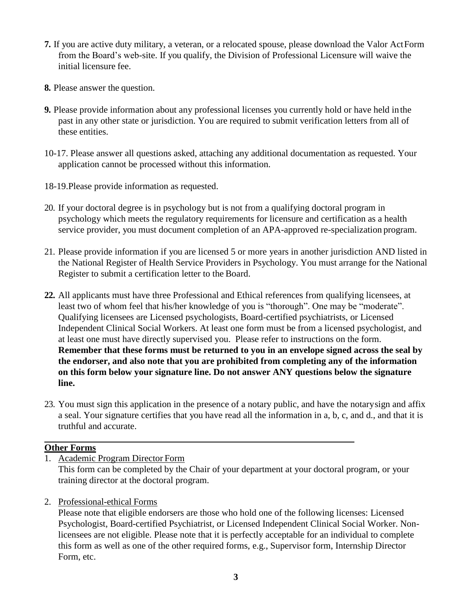- **7.** If you are active duty military, a veteran, or a relocated spouse, please download the Valor ActForm from the Board's web-site. If you qualify, the Division of Professional Licensure will waive the initial licensure fee.
- **8.** Please answer the question.
- **9.** Please provide information about any professional licenses you currently hold or have held inthe past in any other state or jurisdiction. You are required to submit verification letters from all of these entities.
- 10-17. Please answer all questions asked, attaching any additional documentation as requested. Your application cannot be processed without this information.
- 18-19.Please provide information as requested.
- 20. If your doctoral degree is in psychology but is not from a qualifying doctoral program in psychology which meets the regulatory requirements for licensure and certification as a health service provider, you must document completion of an APA-approved re-specialization program.
- 21. Please provide information if you are licensed 5 or more years in another jurisdiction AND listed in the National Register of Health Service Providers in Psychology. You must arrange for the National Register to submit a certification letter to the Board.
- **22.** All applicants must have three Professional and Ethical references from qualifying licensees, at least two of whom feel that his/her knowledge of you is "thorough". One may be "moderate". Qualifying licensees are Licensed psychologists, Board-certified psychiatrists, or Licensed Independent Clinical Social Workers. At least one form must be from a licensed psychologist, and at least one must have directly supervised you. Please refer to instructions on the form. **Remember that these forms must be returned to you in an envelope signed across the seal by the endorser, and also note that you are prohibited from completing any of the information on this form below your signature line. Do not answer ANY questions below the signature line.**
- 23. You must sign this application in the presence of a notary public, and have the notarysign and affix a seal. Your signature certifies that you have read all the information in a, b, c, and d., and that it is truthful and accurate.

# **Other Forms**

1. Academic Program Director Form

This form can be completed by the Chair of your department at your doctoral program, or your training director at the doctoral program.

2. Professional-ethical Forms

Please note that eligible endorsers are those who hold one of the following licenses: Licensed Psychologist, Board-certified Psychiatrist, or Licensed Independent Clinical Social Worker. Nonlicensees are not eligible. Please note that it is perfectly acceptable for an individual to complete this form as well as one of the other required forms, e.g., Supervisor form, Internship Director Form, etc.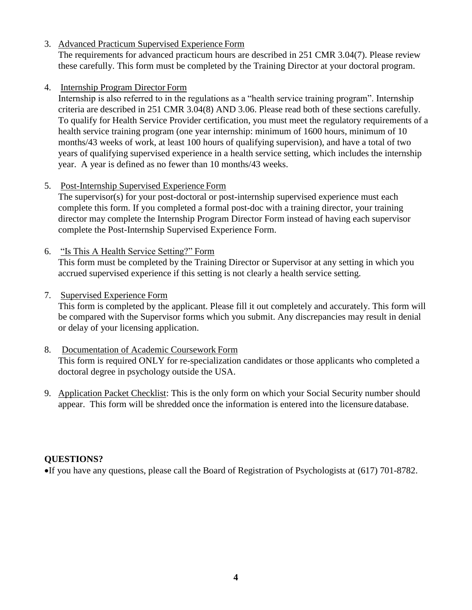3. Advanced Practicum Supervised Experience Form

The requirements for advanced practicum hours are described in 251 CMR 3.04(7). Please review these carefully. This form must be completed by the Training Director at your doctoral program.

# 4. Internship Program Director Form

Internship is also referred to in the regulations as a "health service training program". Internship criteria are described in 251 CMR 3.04(8) AND 3.06. Please read both of these sections carefully. To qualify for Health Service Provider certification, you must meet the regulatory requirements of a health service training program (one year internship: minimum of 1600 hours, minimum of 10 months/43 weeks of work, at least 100 hours of qualifying supervision), and have a total of two years of qualifying supervised experience in a health service setting, which includes the internship year. A year is defined as no fewer than 10 months/43 weeks.

# 5. Post-Internship Supervised Experience Form

The supervisor(s) for your post-doctoral or post-internship supervised experience must each complete this form. If you completed a formal post-doc with a training director, your training director may complete the Internship Program Director Form instead of having each supervisor complete the Post-Internship Supervised Experience Form.

6. "Is This A Health Service Setting?" Form This form must be completed by the Training Director or Supervisor at any setting in which you accrued supervised experience if this setting is not clearly a health service setting.

# 7. Supervised Experience Form

This form is completed by the applicant. Please fill it out completely and accurately. This form will be compared with the Supervisor forms which you submit. Any discrepancies may result in denial or delay of your licensing application.

- 8. Documentation of Academic Coursework Form This form is required ONLY for re-specialization candidates or those applicants who completed a doctoral degree in psychology outside the USA.
- 9. Application Packet Checklist: This is the only form on which your Social Security number should appear. This form will be shredded once the information is entered into the licensure database.

# **QUESTIONS?**

If you have any questions, please call the Board of Registration of Psychologists at (617) 701-8782.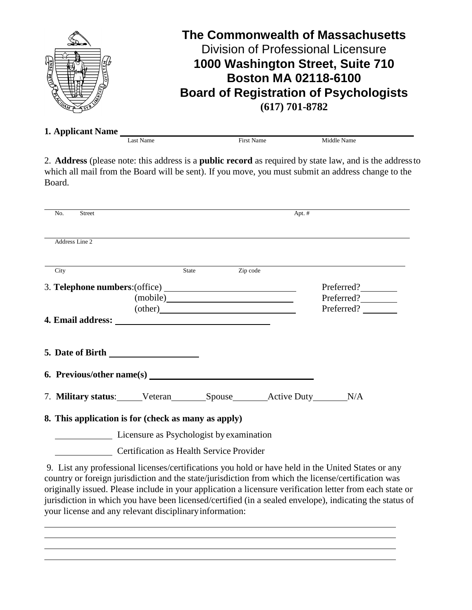

**1. Applicant Name** Last Name First Name Middle Name

2. **Address** (please note: this address is a **public record** as required by state law, and is the addressto which all mail from the Board will be sent). If you move, you must submit an address change to the Board.

| No.  | <b>Street</b>                                                                                                                                                                                                                                                                                                                                                                                                                                                |                                                                                                                                                                                                                                    |                | Apt. $#$ |                                                                                                    |
|------|--------------------------------------------------------------------------------------------------------------------------------------------------------------------------------------------------------------------------------------------------------------------------------------------------------------------------------------------------------------------------------------------------------------------------------------------------------------|------------------------------------------------------------------------------------------------------------------------------------------------------------------------------------------------------------------------------------|----------------|----------|----------------------------------------------------------------------------------------------------|
|      | Address Line 2                                                                                                                                                                                                                                                                                                                                                                                                                                               |                                                                                                                                                                                                                                    |                |          |                                                                                                    |
| City |                                                                                                                                                                                                                                                                                                                                                                                                                                                              |                                                                                                                                                                                                                                    | State Zip code |          |                                                                                                    |
|      |                                                                                                                                                                                                                                                                                                                                                                                                                                                              |                                                                                                                                                                                                                                    |                |          | Preferred?                                                                                         |
|      |                                                                                                                                                                                                                                                                                                                                                                                                                                                              |                                                                                                                                                                                                                                    |                |          | Preferred?                                                                                         |
|      |                                                                                                                                                                                                                                                                                                                                                                                                                                                              | (other) <b>Example</b> 2 and 2 and 2 and 2 and 2 and 2 and 2 and 2 and 2 and 2 and 2 and 2 and 2 and 2 and 2 and 2 and 2 and 2 and 2 and 2 and 2 and 2 and 2 and 2 and 2 and 2 and 2 and 2 and 2 and 2 and 2 and 2 and 2 and 2 and |                |          | Preferred?                                                                                         |
|      |                                                                                                                                                                                                                                                                                                                                                                                                                                                              |                                                                                                                                                                                                                                    |                |          |                                                                                                    |
|      |                                                                                                                                                                                                                                                                                                                                                                                                                                                              |                                                                                                                                                                                                                                    |                |          |                                                                                                    |
|      |                                                                                                                                                                                                                                                                                                                                                                                                                                                              |                                                                                                                                                                                                                                    |                |          |                                                                                                    |
|      | 7. Military status: Veteran Spouse Active Duty N/A                                                                                                                                                                                                                                                                                                                                                                                                           |                                                                                                                                                                                                                                    |                |          |                                                                                                    |
|      | 8. This application is for (check as many as apply)                                                                                                                                                                                                                                                                                                                                                                                                          |                                                                                                                                                                                                                                    |                |          |                                                                                                    |
|      | Licensure as Psychologist by examination                                                                                                                                                                                                                                                                                                                                                                                                                     |                                                                                                                                                                                                                                    |                |          |                                                                                                    |
|      | Certification as Health Service Provider                                                                                                                                                                                                                                                                                                                                                                                                                     |                                                                                                                                                                                                                                    |                |          |                                                                                                    |
|      | $\mathcal{L} = \mathcal{L} = \mathcal{L} = \mathcal{L} = \mathcal{L} = \mathcal{L} = \mathcal{L} = \mathcal{L} = \mathcal{L} = \mathcal{L} = \mathcal{L} = \mathcal{L} = \mathcal{L} = \mathcal{L} = \mathcal{L} = \mathcal{L} = \mathcal{L} = \mathcal{L} = \mathcal{L} = \mathcal{L} = \mathcal{L} = \mathcal{L} = \mathcal{L} = \mathcal{L} = \mathcal{L} = \mathcal{L} = \mathcal{L} = \mathcal{L} = \mathcal{L} = \mathcal{L} = \mathcal{L} = \mathcal$ |                                                                                                                                                                                                                                    |                |          | 9. List any professional licenses/certifications you hold or have held in the United States or any |

country or foreign jurisdiction and the state/jurisdiction from which the license/certification was originally issued. Please include in your application a licensure verification letter from each state or jurisdiction in which you have been licensed/certified (in a sealed envelope), indicating the status of your license and any relevant disciplinaryinformation: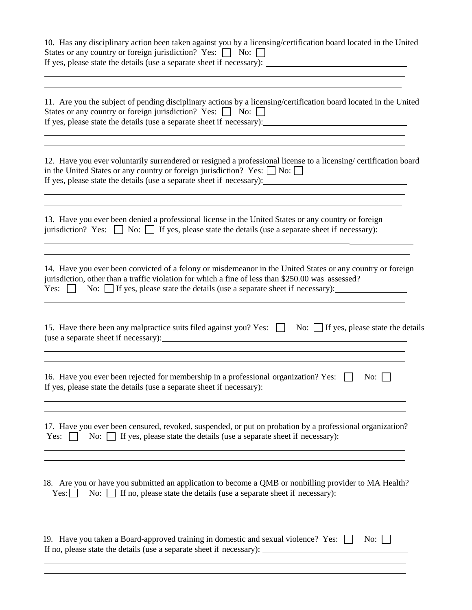| 10. Has any disciplinary action been taken against you by a licensing/certification board located in the United<br>States or any country or foreign jurisdiction? Yes: No: 0                                                                                                                                    |
|-----------------------------------------------------------------------------------------------------------------------------------------------------------------------------------------------------------------------------------------------------------------------------------------------------------------|
| 11. Are you the subject of pending disciplinary actions by a licensing/certification board located in the United<br>States or any country or foreign jurisdiction? Yes: No:<br>If yes, please state the details (use a separate sheet if necessary):                                                            |
| 12. Have you ever voluntarily surrendered or resigned a professional license to a licensing/ certification board<br>in the United States or any country or foreign jurisdiction? Yes: $\Box$ No: $\Box$                                                                                                         |
| 13. Have you ever been denied a professional license in the United States or any country or foreign<br>jurisdiction? Yes: $\Box$ No: $\Box$ If yes, please state the details (use a separate sheet if necessary):                                                                                               |
| 14. Have you ever been convicted of a felony or misdemeanor in the United States or any country or foreign<br>jurisdiction, other than a traffic violation for which a fine of less than \$250.00 was assessed?<br>Yes: $\Box$ No: $\Box$ If yes, please state the details (use a separate sheet if necessary): |
| 15. Have there been any malpractice suits filed against you? Yes: No: If yes, please state the details<br>(use a separate sheet if necessary):                                                                                                                                                                  |
| 16. Have you ever been rejected for membership in a professional organization? Yes:<br>No:<br>If yes, please state the details (use a separate sheet if necessary):<br>,我们也不能在这里,我们也不能不能不能不能不能不能不能不能不能不能不能不能不能不能不能不能。""我们不能不能不能不能不能不能不能不能不能不能不能不能不能不能不能                                                         |
| 17. Have you ever been censured, revoked, suspended, or put on probation by a professional organization?<br>No: $\Box$ If yes, please state the details (use a separate sheet if necessary):<br>Yes: $\vert \vert$                                                                                              |
| 18. Are you or have you submitted an application to become a QMB or nonbilling provider to MA Health?<br>No: $\Box$ If no, please state the details (use a separate sheet if necessary):<br>Yes:                                                                                                                |
| 19. Have you taken a Board-approved training in domestic and sexual violence? Yes: $\Box$<br>No: $\vert$ $\vert$                                                                                                                                                                                                |
|                                                                                                                                                                                                                                                                                                                 |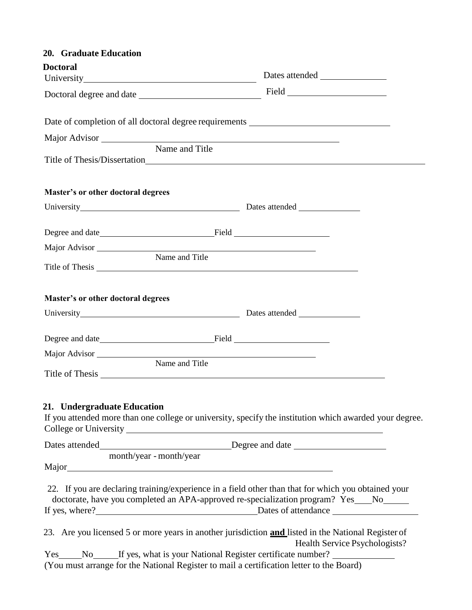| 20. Graduate Education             |                                                                                                                                                                                                                                                                            |
|------------------------------------|----------------------------------------------------------------------------------------------------------------------------------------------------------------------------------------------------------------------------------------------------------------------------|
| <b>Doctoral</b>                    |                                                                                                                                                                                                                                                                            |
|                                    |                                                                                                                                                                                                                                                                            |
|                                    | Doctoral degree and date Field                                                                                                                                                                                                                                             |
|                                    | Date of completion of all doctoral degree requirements __________________________                                                                                                                                                                                          |
|                                    |                                                                                                                                                                                                                                                                            |
| Name and Title                     |                                                                                                                                                                                                                                                                            |
| Master's or other doctoral degrees |                                                                                                                                                                                                                                                                            |
|                                    |                                                                                                                                                                                                                                                                            |
|                                    |                                                                                                                                                                                                                                                                            |
| Major Advisor                      |                                                                                                                                                                                                                                                                            |
| Name and Title                     |                                                                                                                                                                                                                                                                            |
| Master's or other doctoral degrees |                                                                                                                                                                                                                                                                            |
|                                    |                                                                                                                                                                                                                                                                            |
|                                    |                                                                                                                                                                                                                                                                            |
| Name and Title                     |                                                                                                                                                                                                                                                                            |
| 21. Undergraduate Education        | If you attended more than one college or university, specify the institution which awarded your degree.                                                                                                                                                                    |
|                                    |                                                                                                                                                                                                                                                                            |
| month/year - month/year            |                                                                                                                                                                                                                                                                            |
|                                    | 22. If you are declaring training/experience in a field other than that for which you obtained your<br>doctorate, have you completed an APA-approved re-specialization program? Yes___No____<br>If yes, where?<br><u>Dates</u> of attendance<br><u>Dates</u> of attendance |
|                                    | 23. Are you licensed 5 or more years in another jurisdiction and listed in the National Register of<br>Health Service Psychologists?                                                                                                                                       |
|                                    | Yes ______No_______If yes, what is your National Register certificate number? _____________________<br>(You must arrange for the National Register to mail a certification letter to the Board)                                                                            |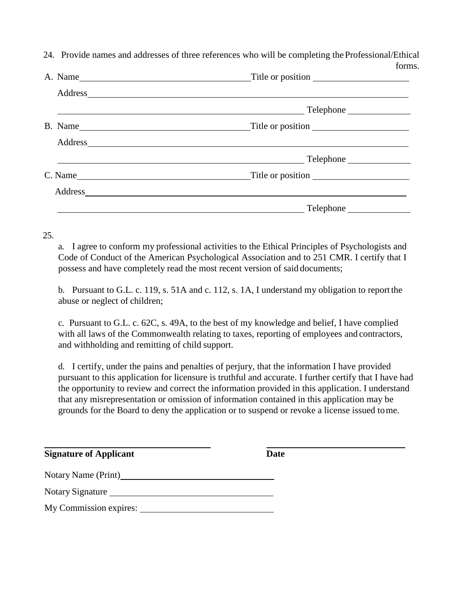|  | 24. Provide names and addresses of three references who will be completing the Professional/Ethical |
|--|-----------------------------------------------------------------------------------------------------|
|  | forms.                                                                                              |

| B. Name |                               |
|---------|-------------------------------|
|         |                               |
|         | <b>Example 2018</b> Telephone |
|         |                               |
|         |                               |
|         |                               |

### 25.

a. I agree to conform my professional activities to the Ethical Principles of Psychologists and Code of Conduct of the American Psychological Association and to 251 CMR. I certify that I possess and have completely read the most recent version of said documents;

b. Pursuant to G.L. c. 119, s. 51A and c. 112, s. 1A, I understand my obligation to reportthe abuse or neglect of children;

c. Pursuant to G.L. c. 62C, s. 49A, to the best of my knowledge and belief, I have complied with all laws of the Commonwealth relating to taxes, reporting of employees and contractors, and withholding and remitting of child support.

d. I certify, under the pains and penalties of perjury, that the information I have provided pursuant to this application for licensure is truthful and accurate. I further certify that I have had the opportunity to review and correct the information provided in this application. I understand that any misrepresentation or omission of information contained in this application may be grounds for the Board to deny the application or to suspend or revoke a license issued tome.

| <b>Signature of Applicant</b> | Date |
|-------------------------------|------|
| Notary Name (Print)           |      |
| Notary Signature              |      |
| My Commission expires:        |      |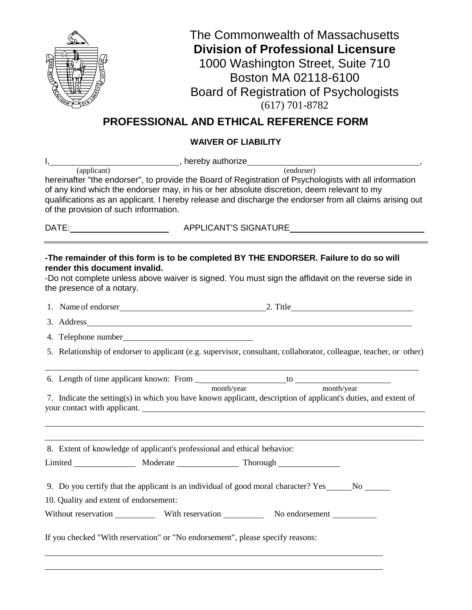

# **PROFESSIONAL AND ETHICAL REFERENCE FORM**

# **WAIVER OF LIABILITY**

| $I, \_\_$<br>Market Barnett Reference Contract Property Authorize                                                                                                                                                                                                                                                                                                                     |  |
|---------------------------------------------------------------------------------------------------------------------------------------------------------------------------------------------------------------------------------------------------------------------------------------------------------------------------------------------------------------------------------------|--|
| (applicant)<br>(endorser)<br>hereinafter "the endorser", to provide the Board of Registration of Psychologists with all information<br>of any kind which the endorser may, in his or her absolute discretion, deem relevant to my<br>qualifications as an applicant. I hereby release and discharge the endorser from all claims arising out<br>of the provision of such information. |  |
|                                                                                                                                                                                                                                                                                                                                                                                       |  |
| -The remainder of this form is to be completed BY THE ENDORSER. Failure to do so will<br>render this document invalid.<br>-Do not complete unless above waiver is signed. You must sign the affidavit on the reverse side in<br>the presence of a notary.                                                                                                                             |  |
| 1. Name of endorser 2. Title 2. Title                                                                                                                                                                                                                                                                                                                                                 |  |
| 3. Address and the state of the state of the state of the state of the state of the state of the state of the state of the state of the state of the state of the state of the state of the state of the state of the state of                                                                                                                                                        |  |
| 4. Telephone number                                                                                                                                                                                                                                                                                                                                                                   |  |
| 5. Relationship of endorser to applicant (e.g. supervisor, consultant, collaborator, colleague, teacher, or other)                                                                                                                                                                                                                                                                    |  |
| month/year<br>month/year<br>7. Indicate the setting(s) in which you have known applicant, description of applicant's duties, and extent of<br>your contact with applicant.                                                                                                                                                                                                            |  |
| 8. Extent of knowledge of applicant's professional and ethical behavior:                                                                                                                                                                                                                                                                                                              |  |
|                                                                                                                                                                                                                                                                                                                                                                                       |  |
| 9. Do you certify that the applicant is an individual of good moral character? Yes No No<br>10. Quality and extent of endorsement:<br>Without reservation _____________ With reservation _____________ No endorsement ____________                                                                                                                                                    |  |
| If you checked "With reservation" or "No endorsement", please specify reasons:                                                                                                                                                                                                                                                                                                        |  |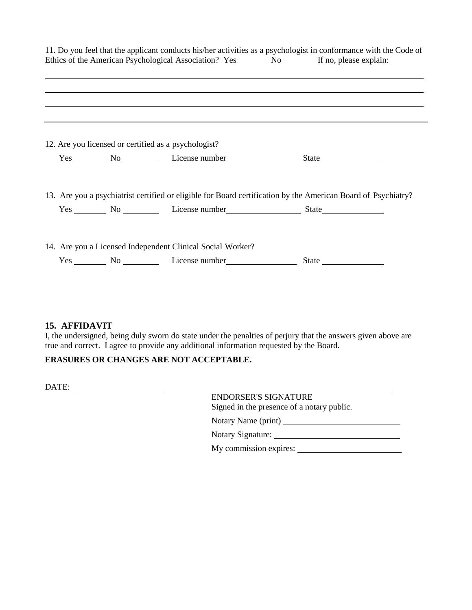|  |                                                            | 11. Do you feel that the applicant conducts his/her activities as a psychologist in conformance with the Code of                                                                                                                    |
|--|------------------------------------------------------------|-------------------------------------------------------------------------------------------------------------------------------------------------------------------------------------------------------------------------------------|
|  |                                                            | ,我们也不能会有什么。""我们的人,我们也不能会有什么?""我们的人,我们也不能会有什么?""我们的人,我们也不能会有什么?""我们的人,我们也不能会有什么?""                                                                                                                                                   |
|  |                                                            | ,我们也不会有什么?""我们的人,我们也不会有什么?""我们的人,我们也不会有什么?""我们的人,我们也不会有什么?""我们的人,我们也不会有什么?""我们的人<br><u> 1989 - Andrea Santa Alemania, amerikan bahasa (h. 1989).</u>                                                                                |
|  | 12. Are you licensed or certified as a psychologist?       |                                                                                                                                                                                                                                     |
|  |                                                            | Yes <u>No Communists Communists</u> Capture Communist Communist Communist Communist Communist Communist Communist Communist Communist Communist Communist Communist Communist Communist Communist Communist Communist Communist Com |
|  |                                                            | 13. Are you a psychiatrist certified or eligible for Board certification by the American Board of Psychiatry?                                                                                                                       |
|  |                                                            | Yes No License number State                                                                                                                                                                                                         |
|  | 14. Are you a Licensed Independent Clinical Social Worker? |                                                                                                                                                                                                                                     |
|  |                                                            | Yes No License number State State                                                                                                                                                                                                   |

### **15. AFFIDAVIT**

I, the undersigned, being duly sworn do state under the penalties of perjury that the answers given above are true and correct. I agree to provide any additional information requested by the Board.

# **ERASURES OR CHANGES ARE NOT ACCEPTABLE.**

DATE:

| <b>ENDORSER'S SIGNATURE</b> |                                            |
|-----------------------------|--------------------------------------------|
|                             | Signed in the presence of a notary public. |
| Notary Name (print)         |                                            |
| Notary Signature:           |                                            |
| My commission expires:      |                                            |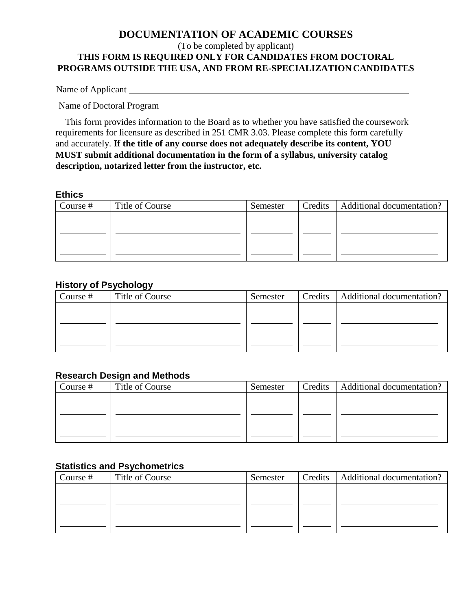# **DOCUMENTATION OF ACADEMIC COURSES** (To be completed by applicant) **THIS FORM IS REQUIRED ONLY FOR CANDIDATES FROM DOCTORAL PROGRAMS OUTSIDE THE USA, AND FROM RE-SPECIALIZATION CANDIDATES**

Name of Applicant

Name of Doctoral Program

This form provides information to the Board as to whether you have satisfied the coursework requirements for licensure as described in 251 CMR 3.03. Please complete this form carefully and accurately. **If the title of any course does not adequately describe its content, YOU MUST submit additional documentation in the form of a syllabus, university catalog description, notarized letter from the instructor, etc.**

#### **Ethics**

| Course $#$ | Title of Course | Semester | Credits | Additional documentation? |
|------------|-----------------|----------|---------|---------------------------|
|            |                 |          |         |                           |
|            |                 |          |         |                           |
|            |                 |          |         |                           |
|            |                 |          |         |                           |

## **History of Psychology**

|          | --              |          |                                     |
|----------|-----------------|----------|-------------------------------------|
| Course # | Title of Course | Semester | Credits   Additional documentation? |
|          |                 |          |                                     |
|          |                 |          |                                     |
|          |                 |          |                                     |
|          |                 |          |                                     |
|          |                 |          |                                     |

# **Research Design and Methods**

| Course $#$ | Title of Course | Semester | Credits   Additional documentation? |
|------------|-----------------|----------|-------------------------------------|
|            |                 |          |                                     |
|            |                 |          |                                     |
|            |                 |          |                                     |
|            |                 |          |                                     |

# **Statistics and Psychometrics**

| Course $#$ | Title of Course | Semester | Credits | Additional documentation? |
|------------|-----------------|----------|---------|---------------------------|
|            |                 |          |         |                           |
|            |                 |          |         |                           |
|            |                 |          |         |                           |
|            |                 |          |         |                           |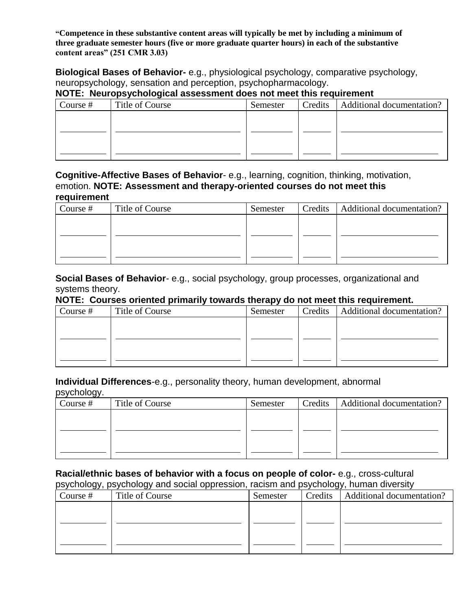**"Competence in these substantive content areas will typically be met by including a minimum of three graduate semester hours (five or more graduate quarter hours) in each of the substantive content areas" (251 CMR 3.03)**

**Biological Bases of Behavior-** e.g., physiological psychology, comparative psychology, neuropsychology, sensation and perception, psychopharmacology.

# **NOTE: Neuropsychological assessment does not meet this requirement**

| Course # | Title of Course | Semester | Credits   Additional documentation? |
|----------|-----------------|----------|-------------------------------------|
|          |                 |          |                                     |
|          |                 |          |                                     |
|          |                 |          |                                     |
|          |                 |          |                                     |
|          |                 |          |                                     |

#### **Cognitive-Affective Bases of Behavior**- e.g., learning, cognition, thinking, motivation, emotion. **NOTE: Assessment and therapy-oriented courses do not meet this requirement**

| Course $#$ | Title of Course | Semester | Credits | Additional documentation? |  |  |
|------------|-----------------|----------|---------|---------------------------|--|--|
|            |                 |          |         |                           |  |  |
|            |                 |          |         |                           |  |  |
|            |                 |          |         |                           |  |  |
|            |                 |          |         |                           |  |  |
|            |                 |          |         |                           |  |  |

### **Social Bases of Behavior**- e.g., social psychology, group processes, organizational and systems theory.

## **NOTE: Courses oriented primarily towards therapy do not meet this requirement.**

| Course # | Title of Course | Semester | Credits | Additional documentation? |
|----------|-----------------|----------|---------|---------------------------|
|          |                 |          |         |                           |
|          |                 |          |         |                           |
|          |                 |          |         |                           |
|          |                 |          |         |                           |

### **Individual Differences**-e.g., personality theory, human development, abnormal

| psychology. |                 |          |                                     |
|-------------|-----------------|----------|-------------------------------------|
| Course #    | Title of Course | Semester | Credits   Additional documentation? |
|             |                 |          |                                     |
|             |                 |          |                                     |
|             |                 |          |                                     |
|             |                 |          |                                     |

## **Racial/ethnic bases of behavior with a focus on people of color-** e.g., cross-cultural psychology, psychology and social oppression, racism and psychology, human diversity

| Course $#$ | Title of Course | Semester | Credits | Additional documentation? |
|------------|-----------------|----------|---------|---------------------------|
|            |                 |          |         |                           |
|            |                 |          |         |                           |
|            |                 |          |         |                           |
|            |                 |          |         |                           |
|            |                 |          |         |                           |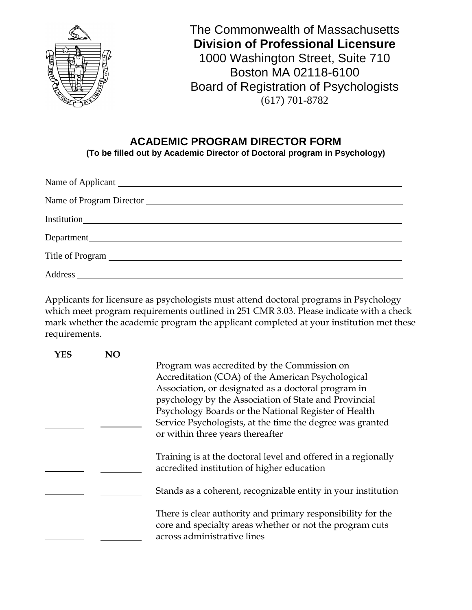

# **ACADEMIC PROGRAM DIRECTOR FORM (To be filled out by Academic Director of Doctoral program in Psychology)**

Applicants for licensure as psychologists must attend doctoral programs in Psychology which meet program requirements outlined in 251 CMR 3.03. Please indicate with a check mark whether the academic program the applicant completed at your institution met these requirements.

| YES | NΩ |                                                               |
|-----|----|---------------------------------------------------------------|
|     |    | Program was accredited by the Commission on                   |
|     |    | Accreditation (COA) of the American Psychological             |
|     |    | Association, or designated as a doctoral program in           |
|     |    | psychology by the Association of State and Provincial         |
|     |    | Psychology Boards or the National Register of Health          |
|     |    | Service Psychologists, at the time the degree was granted     |
|     |    | or within three years thereafter                              |
|     |    |                                                               |
|     |    | Training is at the doctoral level and offered in a regionally |
|     |    | accredited institution of higher education                    |
|     |    |                                                               |
|     |    | Stands as a coherent, recognizable entity in your institution |
|     |    | There is clear authority and primary responsibility for the   |
|     |    | core and specialty areas whether or not the program cuts      |
|     |    | across administrative lines                                   |
|     |    |                                                               |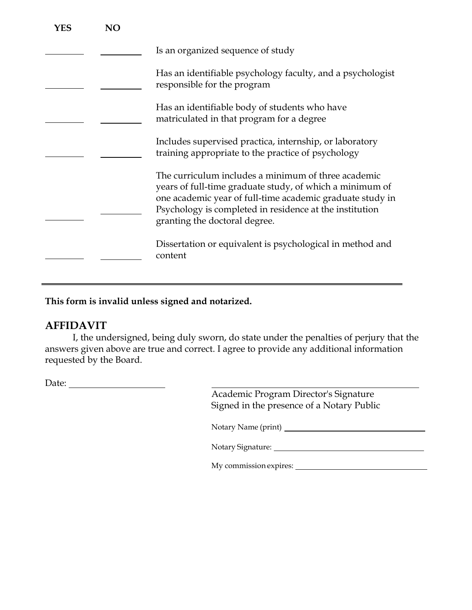| YES | NO |                                                                                                                                                                                                                                                                          |
|-----|----|--------------------------------------------------------------------------------------------------------------------------------------------------------------------------------------------------------------------------------------------------------------------------|
|     |    | Is an organized sequence of study                                                                                                                                                                                                                                        |
|     |    | Has an identifiable psychology faculty, and a psychologist<br>responsible for the program                                                                                                                                                                                |
|     |    | Has an identifiable body of students who have<br>matriculated in that program for a degree                                                                                                                                                                               |
|     |    | Includes supervised practica, internship, or laboratory<br>training appropriate to the practice of psychology                                                                                                                                                            |
|     |    | The curriculum includes a minimum of three academic<br>years of full-time graduate study, of which a minimum of<br>one academic year of full-time academic graduate study in<br>Psychology is completed in residence at the institution<br>granting the doctoral degree. |
|     |    | Dissertation or equivalent is psychological in method and<br>content                                                                                                                                                                                                     |

**This form is invalid unless signed and notarized.**

# **AFFIDAVIT**

I, the undersigned, being duly sworn, do state under the penalties of perjury that the answers given above are true and correct. I agree to provide any additional information requested by the Board.

Date:

Academic Program Director's Signature Signed in the presence of a Notary Public

Notary Name (print)

Notary Signature:

My commission expires: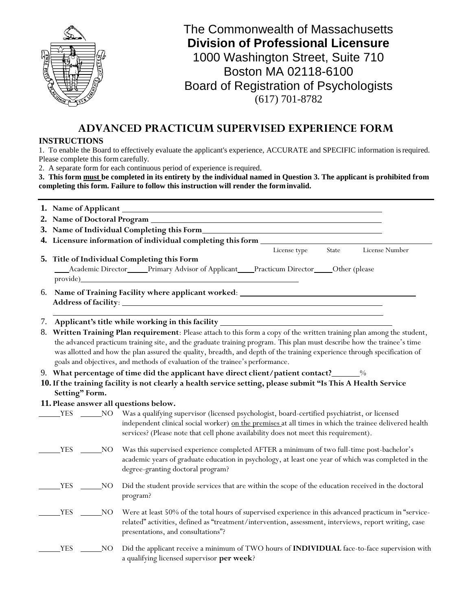

# **ADVANCED PRACTICUM SUPERVISED EXPERIENCE FORM**

#### **INSTRUCTIONS**

1. To enable the Board to effectively evaluate the applicant's experience, ACCURATE and SPECIFIC information isrequired. Please complete this form carefully.

2. A separate form for each continuous period of experience isrequired.

**3. This form must be completed in its entirety by the individual named in Question 3. The applicant is prohibited from completing this form. Failure to follow this instruction will render the form invalid.**

|    | 3. Name of Individual Completing this Form_                                                                                                                                                                                                                                                                                                                                                                                                                      |             |                                                                                                                                                                                                                                                                                                    |  |  |  |  |  |
|----|------------------------------------------------------------------------------------------------------------------------------------------------------------------------------------------------------------------------------------------------------------------------------------------------------------------------------------------------------------------------------------------------------------------------------------------------------------------|-------------|----------------------------------------------------------------------------------------------------------------------------------------------------------------------------------------------------------------------------------------------------------------------------------------------------|--|--|--|--|--|
|    | 4. Licensure information of individual completing this form ____________________                                                                                                                                                                                                                                                                                                                                                                                 |             |                                                                                                                                                                                                                                                                                                    |  |  |  |  |  |
|    |                                                                                                                                                                                                                                                                                                                                                                                                                                                                  |             | State<br>License type<br>License Number                                                                                                                                                                                                                                                            |  |  |  |  |  |
|    |                                                                                                                                                                                                                                                                                                                                                                                                                                                                  |             | 5. Title of Individual Completing this Form                                                                                                                                                                                                                                                        |  |  |  |  |  |
|    |                                                                                                                                                                                                                                                                                                                                                                                                                                                                  |             | Academic Director_____Primary Advisor of Applicant____Practicum Director_____Other (please                                                                                                                                                                                                         |  |  |  |  |  |
|    | provide)                                                                                                                                                                                                                                                                                                                                                                                                                                                         |             |                                                                                                                                                                                                                                                                                                    |  |  |  |  |  |
| 6. |                                                                                                                                                                                                                                                                                                                                                                                                                                                                  |             | Name of Training Facility where applicant worked: ______________________________                                                                                                                                                                                                                   |  |  |  |  |  |
|    |                                                                                                                                                                                                                                                                                                                                                                                                                                                                  |             | 7. Applicant's title while working in this facility ____________________________                                                                                                                                                                                                                   |  |  |  |  |  |
|    | 8. Written Training Plan requirement: Please attach to this form a copy of the written training plan among the student,<br>the advanced practicum training site, and the graduate training program. This plan must describe how the trainee's time<br>was allotted and how the plan assured the quality, breadth, and depth of the training experience through specification of<br>goals and objectives, and methods of evaluation of the trainee's performance. |             |                                                                                                                                                                                                                                                                                                    |  |  |  |  |  |
|    |                                                                                                                                                                                                                                                                                                                                                                                                                                                                  |             | 9. What percentage of time did the applicant have direct client/patient contact?______%                                                                                                                                                                                                            |  |  |  |  |  |
|    | Setting" Form.                                                                                                                                                                                                                                                                                                                                                                                                                                                   |             | 10. If the training facility is not clearly a health service setting, please submit "Is This A Health Service                                                                                                                                                                                      |  |  |  |  |  |
|    |                                                                                                                                                                                                                                                                                                                                                                                                                                                                  |             | 11. Please answer all questions below.                                                                                                                                                                                                                                                             |  |  |  |  |  |
|    | <b>YES</b>                                                                                                                                                                                                                                                                                                                                                                                                                                                       |             | NO Was a qualifying supervisor (licensed psychologist, board-certified psychiatrist, or licensed<br>independent clinical social worker) on the premises at all times in which the trainee delivered health<br>services? (Please note that cell phone availability does not meet this requirement). |  |  |  |  |  |
|    | <b>YES</b>                                                                                                                                                                                                                                                                                                                                                                                                                                                       | _NO         | Was this supervised experience completed AFTER a minimum of two full-time post-bachelor's<br>academic years of graduate education in psychology, at least one year of which was completed in the<br>degree-granting doctoral program?                                                              |  |  |  |  |  |
|    | <b>YES</b>                                                                                                                                                                                                                                                                                                                                                                                                                                                       | $_{\rm NO}$ | Did the student provide services that are within the scope of the education received in the doctoral<br>program?                                                                                                                                                                                   |  |  |  |  |  |
|    | <b>YES</b>                                                                                                                                                                                                                                                                                                                                                                                                                                                       | NO          | Were at least 50% of the total hours of supervised experience in this advanced practicum in "service-<br>related" activities, defined as "treatment/intervention, assessment, interviews, report writing, case<br>presentations, and consultations"?                                               |  |  |  |  |  |
|    | <b>YES</b>                                                                                                                                                                                                                                                                                                                                                                                                                                                       | NO_         | Did the applicant receive a minimum of TWO hours of INDIVIDUAL face-to-face supervision with<br>a qualifying licensed supervisor per week?                                                                                                                                                         |  |  |  |  |  |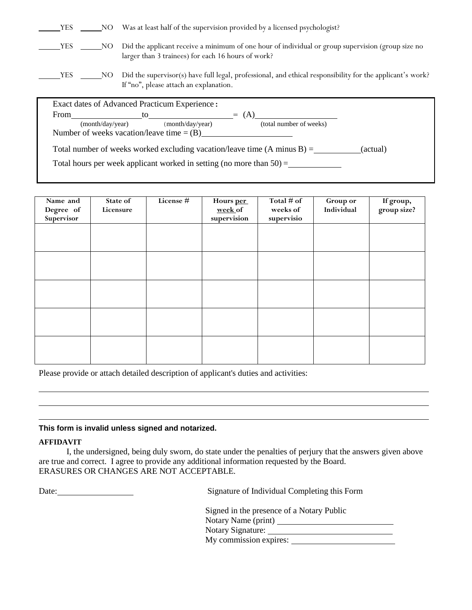| <b>YES</b> |                  | NO. | Was at least half of the supervision provided by a licensed psychologist?                                                                               |
|------------|------------------|-----|---------------------------------------------------------------------------------------------------------------------------------------------------------|
| YES        |                  | NO. | Did the applicant receive a minimum of one hour of individual or group supervision (group size no<br>larger than 3 trainees) for each 16 hours of work? |
| <b>YES</b> | NO               |     | Did the supervisor(s) have full legal, professional, and ethical responsibility for the applicant's work?<br>If "no", please attach an explanation.     |
|            |                  |     | Exact dates of Advanced Practicum Experience:                                                                                                           |
| From       |                  |     | (A)<br>to<br>$=$                                                                                                                                        |
|            | (month/day/year) |     | (month/day/year)<br>(total number of weeks)                                                                                                             |

Number of weeks vacation/leave time  $=$  (B)

Total number of weeks worked excluding vacation/leave time  $(A \text{ minus } B) =$  (actual)

Total hours per week applicant worked in setting (no more than  $50$ ) =

| Name and<br>Degree of<br>Supervisor | State of<br>Licensure | <b>License #</b> | Hours per<br>week of<br>supervision | Total # of<br>weeks of<br>supervisio | <b>Group or</b><br>Individual | If group,<br>group size? |
|-------------------------------------|-----------------------|------------------|-------------------------------------|--------------------------------------|-------------------------------|--------------------------|
|                                     |                       |                  |                                     |                                      |                               |                          |
|                                     |                       |                  |                                     |                                      |                               |                          |
|                                     |                       |                  |                                     |                                      |                               |                          |
|                                     |                       |                  |                                     |                                      |                               |                          |
|                                     |                       |                  |                                     |                                      |                               |                          |
|                                     |                       |                  |                                     |                                      |                               |                          |
|                                     |                       |                  |                                     |                                      |                               |                          |
|                                     |                       |                  |                                     |                                      |                               |                          |

Please provide or attach detailed description of applicant's duties and activities:

#### **This form is invalid unless signed and notarized.**

#### **AFFIDAVIT**

I, the undersigned, being duly sworn, do state under the penalties of perjury that the answers given above are true and correct. I agree to provide any additional information requested by the Board. ERASURES OR CHANGES ARE NOT ACCEPTABLE.

Date: <u>Signature</u> of Individual Completing this Form

| Signed in the presence of a Notary Public |
|-------------------------------------------|
| Notary Name (print)                       |
| <b>Notary Signature:</b>                  |
| My commission expires:                    |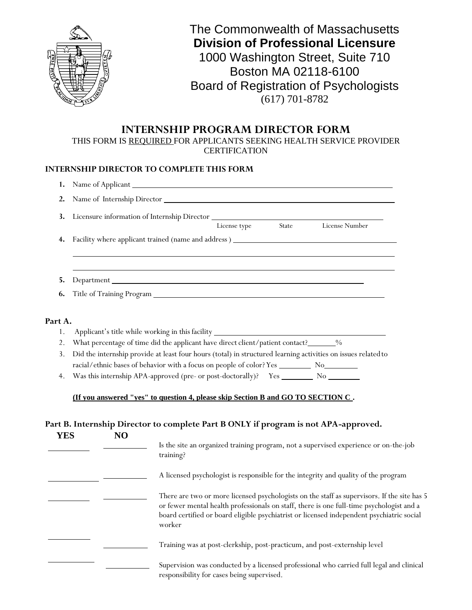

# **INTERNSHIP PROGRAM DIRECTOR FORM**

THIS FORM IS REQUIRED FOR APPLICANTS SEEKING HEALTH SERVICE PROVIDER **CERTIFICATION** 

#### **INTERNSHIP DIRECTOR TO COMPLETE THIS FORM**

| 1.             |                                                                                                               |           |  |                                                                                      |
|----------------|---------------------------------------------------------------------------------------------------------------|-----------|--|--------------------------------------------------------------------------------------|
| 2.             |                                                                                                               |           |  |                                                                                      |
| 3.             | Licensure information of Internship Director ___________________________________                              |           |  |                                                                                      |
|                |                                                                                                               |           |  | License type State License Number                                                    |
| 4.             |                                                                                                               |           |  |                                                                                      |
|                |                                                                                                               |           |  |                                                                                      |
| 5.             |                                                                                                               |           |  |                                                                                      |
| 6.             |                                                                                                               |           |  |                                                                                      |
| Part A.        |                                                                                                               |           |  |                                                                                      |
| 1.             | Applicant's title while working in this facility ________________________________                             |           |  |                                                                                      |
| 2 <sub>1</sub> | What percentage of time did the applicant have direct client/patient contact?______%                          |           |  |                                                                                      |
| 3.             | Did the internship provide at least four hours (total) in structured learning activities on issues related to |           |  |                                                                                      |
|                |                                                                                                               |           |  |                                                                                      |
| 4.             |                                                                                                               |           |  |                                                                                      |
|                | (If you answered "yes" to question 4, please skip Section B and GO TO SECTION C.                              |           |  |                                                                                      |
|                |                                                                                                               |           |  |                                                                                      |
|                | Part B. Internship Director to complete Part B ONLY if program is not APA-approved.                           |           |  |                                                                                      |
| <b>YES</b>     | N <sub>O</sub>                                                                                                |           |  |                                                                                      |
|                |                                                                                                               | training? |  | Is the site an organized training program, not a supervised experience or on-the-job |
|                |                                                                                                               |           |  | A licensed psychologist is responsible for the integrity and quality of the program  |

| There are two or more licensed psychologists on the staff as supervisors. If the site has 5 |
|---------------------------------------------------------------------------------------------|
| or fewer mental health professionals on staff, there is one full-time psychologist and a    |
| board certified or board eligible psychiatrist or licensed independent psychiatric social   |
| worker                                                                                      |
|                                                                                             |

Training was at post-clerkship, post-practicum, and post-externship level

Supervision was conducted by a licensed professional who carried full legal and clinical responsibility for cases being supervised.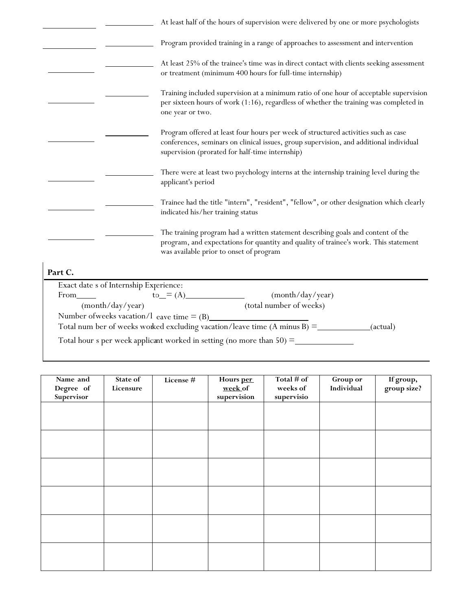|                                              | At least half of the hours of supervision were delivered by one or more psychologists                                                                                                                                           |
|----------------------------------------------|---------------------------------------------------------------------------------------------------------------------------------------------------------------------------------------------------------------------------------|
|                                              | Program provided training in a range of approaches to assessment and intervention                                                                                                                                               |
|                                              | At least 25% of the trainee's time was in direct contact with clients seeking assessment<br>or treatment (minimum 400 hours for full-time internship)                                                                           |
|                                              | Training included supervision at a minimum ratio of one hour of acceptable supervision<br>per sixteen hours of work (1:16), regardless of whether the training was completed in<br>one year or two.                             |
|                                              | Program offered at least four hours per week of structured activities such as case<br>conferences, seminars on clinical issues, group supervision, and additional individual<br>supervision (prorated for half-time internship) |
|                                              | There were at least two psychology interns at the internship training level during the<br>applicant's period                                                                                                                    |
|                                              | Trainee had the title "intern", "resident", "fellow", or other designation which clearly<br>indicated his/her training status                                                                                                   |
|                                              | The training program had a written statement describing goals and content of the<br>program, and expectations for quantity and quality of trainee's work. This statement<br>was available prior to onset of program             |
| Part C.                                      |                                                                                                                                                                                                                                 |
| Exact date s of Internship Experience:       |                                                                                                                                                                                                                                 |
| From                                         | $to_0 = (A)$<br>(month/day/year)                                                                                                                                                                                                |
| (month/day/year)                             | (total number of weeks)                                                                                                                                                                                                         |
| Number of weeks vacation/1 eave time $=$ (B) |                                                                                                                                                                                                                                 |
|                                              | Total num ber of weeks worked excluding vacation/leave time $(A \text{ minus } B)$ =<br>(actual)                                                                                                                                |

Total hour s per week applica nt worked in setting (no more than 50) =

| Name and<br>Degree of<br>Supervisor | State of<br>Licensure | License # | Hours per<br>week of<br>supervision | Total $#$ of<br>weeks of<br>supervisio | Group or<br>Individual | If group,<br>group size? |
|-------------------------------------|-----------------------|-----------|-------------------------------------|----------------------------------------|------------------------|--------------------------|
|                                     |                       |           |                                     |                                        |                        |                          |
|                                     |                       |           |                                     |                                        |                        |                          |
|                                     |                       |           |                                     |                                        |                        |                          |
|                                     |                       |           |                                     |                                        |                        |                          |
|                                     |                       |           |                                     |                                        |                        |                          |
|                                     |                       |           |                                     |                                        |                        |                          |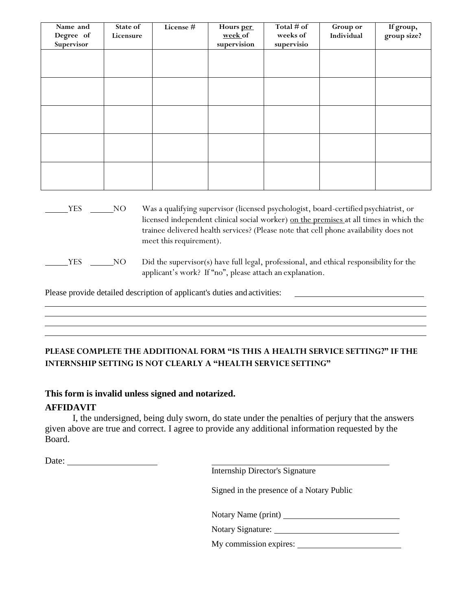| Name and<br>Degree of<br>Supervisor | State of<br>Licensure | License # | Hours per<br>week of<br>supervision | Total $#$ of<br>weeks of<br>supervisio | Group or<br>Individual | If group,<br>group size? |
|-------------------------------------|-----------------------|-----------|-------------------------------------|----------------------------------------|------------------------|--------------------------|
|                                     |                       |           |                                     |                                        |                        |                          |
|                                     |                       |           |                                     |                                        |                        |                          |
|                                     |                       |           |                                     |                                        |                        |                          |
|                                     |                       |           |                                     |                                        |                        |                          |
|                                     |                       |           |                                     |                                        |                        |                          |

YES NO Was a qualifying supervisor (licensed psychologist, board-certified psychiatrist, or licensed independent clinical social worker) on the premises at all times in which the trainee delivered health services? (Please note that cell phone availability does not meet this requirement).

Please provide detailed description of applicant's duties and activities:

# **PLEASE COMPLETE THE ADDITIONAL FORM "IS THIS A HEALTH SERVICE SETTING?" IF THE INTERNSHIP SETTING IS NOT CLEARLY A "HEALTH SERVICE SETTING"**

# **This form is invalid unless signed and notarized.**

# **AFFIDAVIT**

I, the undersigned, being duly sworn, do state under the penalties of perjury that the answers given above are true and correct. I agree to provide any additional information requested by the Board.

Date:

Internship Director's Signature

Signed in the presence of a Notary Public

Notary Name (print)

Notary Signature: Notary Signature:

My commission expires:

YES NO Did the supervisor(s) have full legal, professional, and ethical responsibility for the applicant's work? If "no", please attach an explanation.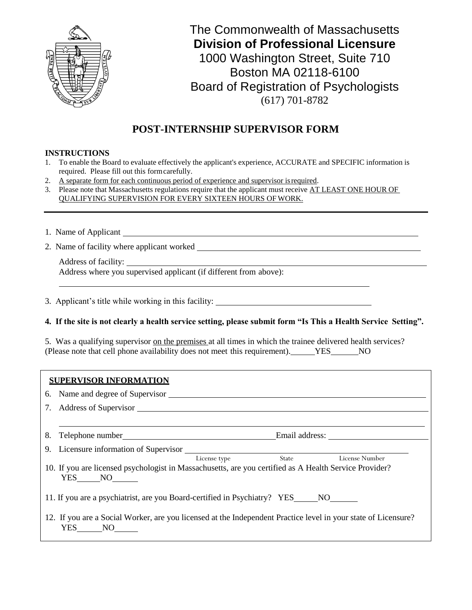

# **POST-INTERNSHIP SUPERVISOR FORM**

#### **INSTRUCTIONS**

- 1. To enable the Board to evaluate effectively the applicant's experience, ACCURATE and SPECIFIC information is required. Please fill out this formcarefully.
- 2. A separate form for each continuous period of experience and supervisor isrequired.
- 3. Please note that Massachusetts regulations require that the applicant must receive AT LEAST ONE HOUR OF QUALIFYING SUPERVISION FOR EVERY SIXTEEN HOURS OFWORK.

1. Name of Applicant

2. Name of facility where applicant worked

Address of facility: Address where you supervised applicant (if different from above):

- 3. Applicant's title while working in this facility:
- **4. If the site is not clearly a health service setting, please submit form "Is This a Health Service Setting".**

5. Was a qualifying supervisor on the premises at all times in which the trainee delivered health services? (Please note that cell phone availability does not meet this requirement). YES NO

### **SUPERVISOR INFORMATION**

| State<br>License Number<br>License type                                                                                  |  |  |  |  |  |  |  |
|--------------------------------------------------------------------------------------------------------------------------|--|--|--|--|--|--|--|
| 10. If you are licensed psychologist in Massachusetts, are you certified as A Health Service Provider?<br>YES NO         |  |  |  |  |  |  |  |
| 11. If you are a psychiatrist, are you Board-certified in Psychiatry? YES NO                                             |  |  |  |  |  |  |  |
| 12. If you are a Social Worker, are you licensed at the Independent Practice level in your state of Licensure?<br>YES NO |  |  |  |  |  |  |  |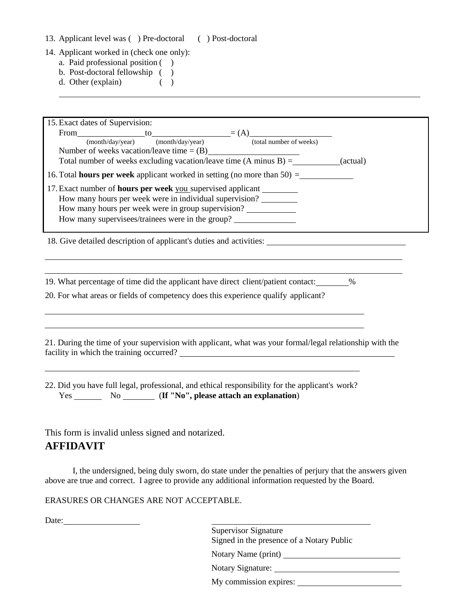- 13. Applicant level was ( ) Pre-doctoral ( ) Post-doctoral
- 14. Applicant worked in (check one only):
	- a. Paid professional position ( )
	- b. Post-doctoral fellowship ( )
	- d. Other (explain) ( )

| 15. Exact dates of Supervision:<br>From $\text{[to]}$ to $\text{[to]}$ = (A) $\text{[to]}$ (total number of weeks)<br>Number of weeks vacation/leave time = $(B)$<br>Total number of weeks excluding vacation/leave time $(A \text{ minus } B) =$ ___________(actual)<br>16. Total <b>hours per week</b> applicant worked in setting (no more than $50$ ) =<br>17. Exact number of <b>hours per week</b> you supervised applicant<br>How many hours per week were in individual supervision?<br>How many hours per week were in group supervision? |
|----------------------------------------------------------------------------------------------------------------------------------------------------------------------------------------------------------------------------------------------------------------------------------------------------------------------------------------------------------------------------------------------------------------------------------------------------------------------------------------------------------------------------------------------------|
| How many supervisees/trainees were in the group?<br>18. Give detailed description of applicant's duties and activities:                                                                                                                                                                                                                                                                                                                                                                                                                            |
| 19. What percentage of time did the applicant have direct client/patient contact: 19.<br>20. For what areas or fields of competency does this experience qualify applicant?                                                                                                                                                                                                                                                                                                                                                                        |
| 21. During the time of your supervision with applicant, what was your formal/legal relationship with the<br>facility in which the training occurred?                                                                                                                                                                                                                                                                                                                                                                                               |
| 22. Did you have full legal, professional, and ethical responsibility for the applicant's work?<br>Yes No No (If "No", please attach an explanation)                                                                                                                                                                                                                                                                                                                                                                                               |
| This form is invalid unless signed and notarized.<br><b>AFFIDAVIT</b>                                                                                                                                                                                                                                                                                                                                                                                                                                                                              |
| I, the undersigned, being duly sworn, do state under the penalties of perjury that the answers given<br>above are true and correct. I agree to provide any additional information requested by the Board.                                                                                                                                                                                                                                                                                                                                          |
| ERASURES OR CHANGES ARE NOT ACCEPTABLE.                                                                                                                                                                                                                                                                                                                                                                                                                                                                                                            |

Date:

Supervisor Signature Signed in the presence of a Notary Public

Notary Name (print)

Notary Signature:

My commission expires: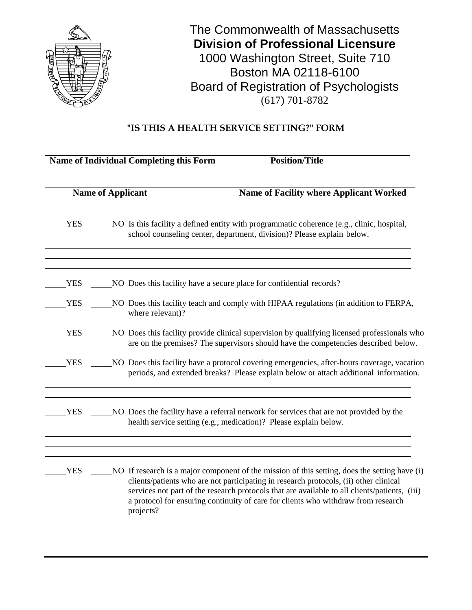

# **"IS THIS A HEALTH SERVICE SETTING?" FORM**

|            |                          | <b>Name of Individual Completing this Form</b><br><b>Position/Title</b>                                                                                                                                                                                                                                                                                                                   |
|------------|--------------------------|-------------------------------------------------------------------------------------------------------------------------------------------------------------------------------------------------------------------------------------------------------------------------------------------------------------------------------------------------------------------------------------------|
|            | <b>Name of Applicant</b> | <b>Name of Facility where Applicant Worked</b>                                                                                                                                                                                                                                                                                                                                            |
| <b>YES</b> |                          | NO Is this facility a defined entity with programmatic coherence (e.g., clinic, hospital,<br>school counseling center, department, division)? Please explain below.                                                                                                                                                                                                                       |
| <b>YES</b> |                          | NO Does this facility have a secure place for confidential records?                                                                                                                                                                                                                                                                                                                       |
| <b>YES</b> |                          | NO Does this facility teach and comply with HIPAA regulations (in addition to FERPA,<br>where relevant)?                                                                                                                                                                                                                                                                                  |
| <b>YES</b> |                          | NO Does this facility provide clinical supervision by qualifying licensed professionals who<br>are on the premises? The supervisors should have the competencies described below.                                                                                                                                                                                                         |
| <b>YES</b> |                          | NO Does this facility have a protocol covering emergencies, after-hours coverage, vacation<br>periods, and extended breaks? Please explain below or attach additional information.                                                                                                                                                                                                        |
| <b>YES</b> |                          | NO Does the facility have a referral network for services that are not provided by the<br>health service setting (e.g., medication)? Please explain below.                                                                                                                                                                                                                                |
| <b>YES</b> |                          | NO If research is a major component of the mission of this setting, does the setting have (i)<br>clients/patients who are not participating in research protocols, (ii) other clinical<br>services not part of the research protocols that are available to all clients/patients, (iii)<br>a protocol for ensuring continuity of care for clients who withdraw from research<br>projects? |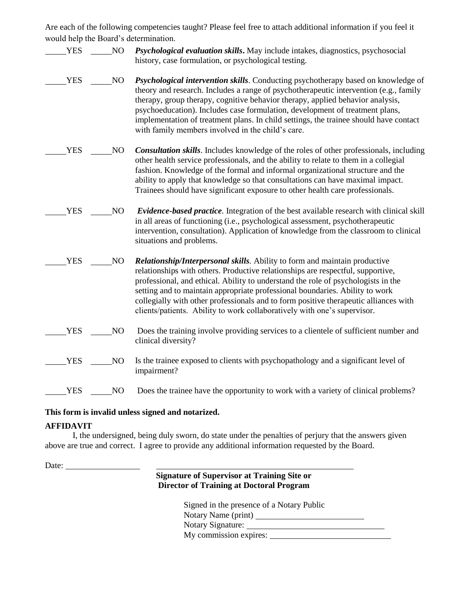Are each of the following competencies taught? Please feel free to attach additional information if you feel it would help the Board's determination.

- YES NO *Psychological evaluation skills***.** May include intakes, diagnostics, psychosocial history, case formulation, or psychological testing.
- NO *Psychological intervention skills*. Conducting psychotherapy based on knowledge of theory and research. Includes a range of psychotherapeutic intervention (e.g., family therapy, group therapy, cognitive behavior therapy, applied behavior analysis, psychoeducation). Includes case formulation, development of treatment plans, implementation of treatment plans. In child settings, the trainee should have contact with family members involved in the child's care.
- YES NO *Consultation skills*. Includes knowledge of the roles of other professionals, including other health service professionals, and the ability to relate to them in a collegial fashion. Knowledge of the formal and informal organizational structure and the ability to apply that knowledge so that consultations can have maximal impact. Trainees should have significant exposure to other health care professionals.
- YES NO *Evidence-based practice*. Integration of the best available research with clinical skill in all areas of functioning (i.e., psychological assessment, psychotherapeutic intervention, consultation). Application of knowledge from the classroom to clinical situations and problems.
- YES NO *Relationship/Interpersonal skills.* Ability to form and maintain productive relationships with others. Productive relationships are respectful, supportive, professional, and ethical. Ability to understand the role of psychologists in the setting and to maintain appropriate professional boundaries. Ability to work collegially with other professionals and to form positive therapeutic alliances with clients/patients. Ability to work collaboratively with one's supervisor.
- YES NO Does the training involve providing services to a clientele of sufficient number and clinical diversity?
- YES NO Is the trainee exposed to clients with psychopathology and a significant level of impairment?

YES NO Does the trainee have the opportunity to work with a variety of clinical problems?

#### **This form is invalid unless signed and notarized.**

### **AFFIDAVIT**

I, the undersigned, being duly sworn, do state under the penalties of perjury that the answers given above are true and correct. I agree to provide any additional information requested by the Board.

Date:

## **Signature of Supervisor at Training Site or Director of Training at Doctoral Program**

| Signed in the presence of a Notary Public |  |
|-------------------------------------------|--|
| Notary Name (print)                       |  |
| Notary Signature:                         |  |
| My commission expires:                    |  |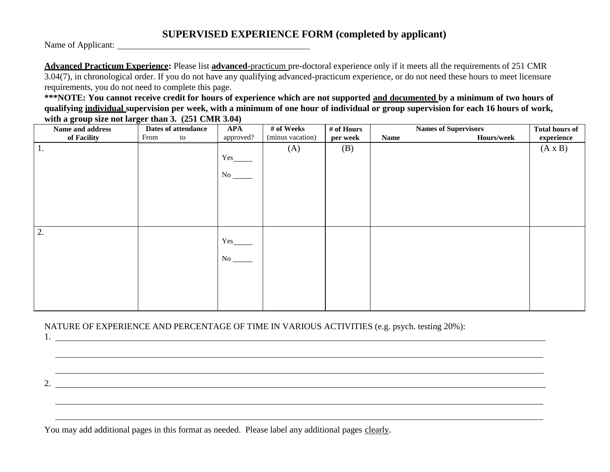# **SUPERVISED EXPERIENCE FORM (completed by applicant)**

Name of Applicant:

**Advanced Practicum Experience:** Please list **advanced**-practicum pre-doctoral experience only if it meets all the requirements of 251 CMR 3.04(7), in chronological order. If you do not have any qualifying advanced-practicum experience, or do not need these hours to meet licensure requirements, you do not need to complete this page.

**\*\*\*NOTE: You cannot receive credit for hours of experience which are not supported and documented by a minimum of two hours of qualifying individual supervision per week, with a minimum of one hour of individual or group supervision for each 16 hours of work, with a group size not larger than 3. (251 CMR 3.04)**

| Name and address | Dates of attendance | <b>APA</b> | # of Weeks       | # of Hours |             | <b>Names of Supervisors</b> | <b>Total hours of</b> |
|------------------|---------------------|------------|------------------|------------|-------------|-----------------------------|-----------------------|
| of Facility      | From<br>to          | approved?  | (minus vacation) | per week   | <b>Name</b> | Hours/week                  | experience            |
| 1.               |                     |            | (A)              | (B)        |             |                             | $(A \times B)$        |
|                  |                     | Yes        |                  |            |             |                             |                       |
|                  |                     |            |                  |            |             |                             |                       |
|                  |                     | No         |                  |            |             |                             |                       |
|                  |                     |            |                  |            |             |                             |                       |
|                  |                     |            |                  |            |             |                             |                       |
|                  |                     |            |                  |            |             |                             |                       |
|                  |                     |            |                  |            |             |                             |                       |
|                  |                     |            |                  |            |             |                             |                       |
| 2.               |                     |            |                  |            |             |                             |                       |
|                  |                     | Yes        |                  |            |             |                             |                       |
|                  |                     |            |                  |            |             |                             |                       |
|                  |                     |            |                  |            |             |                             |                       |
|                  |                     |            |                  |            |             |                             |                       |
|                  |                     |            |                  |            |             |                             |                       |
|                  |                     |            |                  |            |             |                             |                       |
|                  |                     |            |                  |            |             |                             |                       |
|                  |                     |            |                  |            |             |                             |                       |

2.

,我们也不会有什么。""我们的人,我们也不会有什么?""我们的人,我们也不会有什么?""我们的人,我们也不会有什么?""我们的人,我们也不会有什么?""我们的人

,我们也不能会有一个人的事情。""我们的人们是不是我们的人,我们也不能会有一个人的人,我们也不能会有一个人的人,我们也不能会有一个人的人,我们也不能会有一个人的

## NATURE OF EXPERIENCE AND PERCENTAGE OF TIME IN VARIOUS ACTIVITIES (e.g. psych. testing 20%): 1.

You may add additional pages in this format as needed. Please label any additional pages clearly.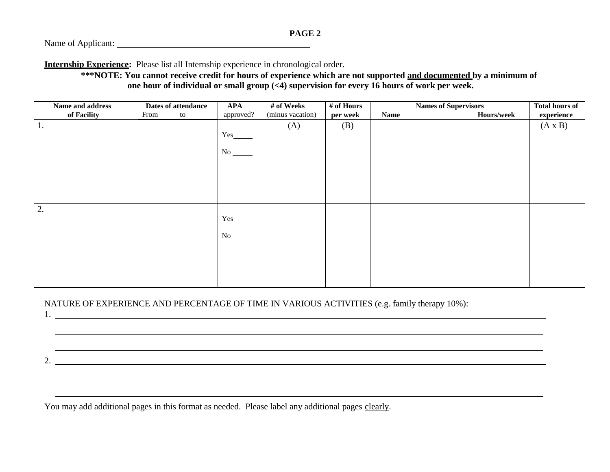**Internship Experience:** Please list all Internship experience in chronological order.

**\*\*\*NOTE: You cannot receive credit for hours of experience which are not supported and documented by a minimum of one hour of individual or small group (<4) supervision for every 16 hours of work per week.**

| Name and address | Dates of attendance | <b>APA</b> | # of Weeks       | # of Hours |             | <b>Names of Supervisors</b> | <b>Total hours of</b> |
|------------------|---------------------|------------|------------------|------------|-------------|-----------------------------|-----------------------|
| of Facility      | From<br>to          | approved?  | (minus vacation) | per week   | <b>Name</b> | Hours/week                  | experience            |
| 1.               |                     |            | (A)              | (B)        |             |                             | $(A \times B)$        |
|                  |                     | Yes_       |                  |            |             |                             |                       |
|                  |                     |            |                  |            |             |                             |                       |
|                  |                     | No         |                  |            |             |                             |                       |
|                  |                     |            |                  |            |             |                             |                       |
|                  |                     |            |                  |            |             |                             |                       |
|                  |                     |            |                  |            |             |                             |                       |
|                  |                     |            |                  |            |             |                             |                       |
|                  |                     |            |                  |            |             |                             |                       |
| $\overline{2}$ . |                     |            |                  |            |             |                             |                       |
|                  |                     | Yes_       |                  |            |             |                             |                       |
|                  |                     |            |                  |            |             |                             |                       |
|                  |                     | No         |                  |            |             |                             |                       |
|                  |                     |            |                  |            |             |                             |                       |
|                  |                     |            |                  |            |             |                             |                       |
|                  |                     |            |                  |            |             |                             |                       |
|                  |                     |            |                  |            |             |                             |                       |
|                  |                     |            |                  |            |             |                             |                       |

,我们也不会有什么。""我们的人,我们也不会有什么?""我们的人,我们也不会有什么?""我们的人,我们也不会有什么?""我们的人,我们也不会有什么?""我们的人

### NATURE OF EXPERIENCE AND PERCENTAGE OF TIME IN VARIOUS ACTIVITIES (e.g. family therapy 10%):

1.

2.

You may add additional pages in this format as needed. Please label any additional pages clearly.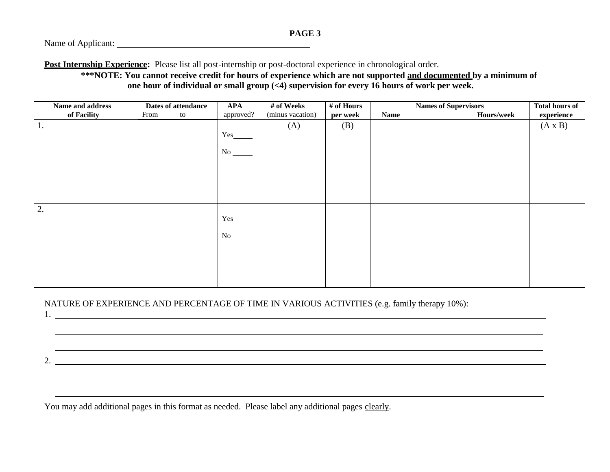**Post Internship Experience:** Please list all post-internship or post-doctoral experience in chronological order.

**\*\*\*NOTE: You cannot receive credit for hours of experience which are not supported and documented by a minimum of one hour of individual or small group (<4) supervision for every 16 hours of work per week.**

| Name and address | Dates of attendance | <b>APA</b> | # of Weeks       | # of Hours |             | <b>Names of Supervisors</b> | <b>Total hours of</b> |
|------------------|---------------------|------------|------------------|------------|-------------|-----------------------------|-----------------------|
| of Facility      | From<br>to          | approved?  | (minus vacation) | per week   | <b>Name</b> | Hours/week                  | experience            |
| 1.               |                     |            | (A)              | (B)        |             |                             | $(A \times B)$        |
|                  |                     | Yes_       |                  |            |             |                             |                       |
|                  |                     |            |                  |            |             |                             |                       |
|                  |                     | No         |                  |            |             |                             |                       |
|                  |                     |            |                  |            |             |                             |                       |
|                  |                     |            |                  |            |             |                             |                       |
|                  |                     |            |                  |            |             |                             |                       |
|                  |                     |            |                  |            |             |                             |                       |
|                  |                     |            |                  |            |             |                             |                       |
| 12.              |                     |            |                  |            |             |                             |                       |
|                  |                     | Yes_       |                  |            |             |                             |                       |
|                  |                     | No         |                  |            |             |                             |                       |
|                  |                     |            |                  |            |             |                             |                       |
|                  |                     |            |                  |            |             |                             |                       |
|                  |                     |            |                  |            |             |                             |                       |
|                  |                     |            |                  |            |             |                             |                       |
|                  |                     |            |                  |            |             |                             |                       |

,我们也不会有什么。""我们的人,我们也不会有什么?""我们的人,我们也不会有什么?""我们的人,我们也不会有什么?""我们的人,我们也不会有什么?""我们的人

### NATURE OF EXPERIENCE AND PERCENTAGE OF TIME IN VARIOUS ACTIVITIES (e.g. family therapy 10%):

1.

2.

You may add additional pages in this format as needed. Please label any additional pages clearly.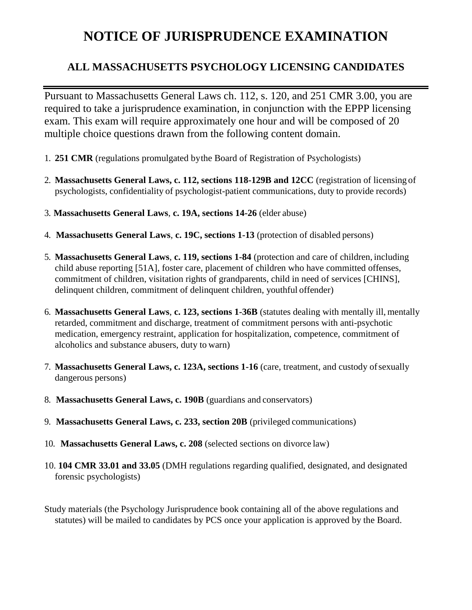# **NOTICE OF JURISPRUDENCE EXAMINATION**

# **ALL MASSACHUSETTS PSYCHOLOGY LICENSING CANDIDATES**

Pursuant to Massachusetts General Laws ch. 112, s. 120, and 251 CMR 3.00, you are required to take a jurisprudence examination, in conjunction with the EPPP licensing exam. This exam will require approximately one hour and will be composed of 20 multiple choice questions drawn from the following content domain.

- 1. **251 CMR** (regulations promulgated bythe Board of Registration of Psychologists)
- 2. **Massachusetts General Laws, c. 112, sections 118-129B and 12CC** (registration of licensing of psychologists, confidentiality of psychologist-patient communications, duty to provide records)
- 3. **Massachusetts General Laws**, **c. 19A, sections 14-26** (elder abuse)
- 4. **Massachusetts General Laws**, **c. 19C, sections 1-13** (protection of disabled persons)
- 5. **Massachusetts General Laws**, **c. 119, sections 1-84** (protection and care of children, including child abuse reporting [51A], foster care, placement of children who have committed offenses, commitment of children, visitation rights of grandparents, child in need of services [CHINS], delinquent children, commitment of delinquent children, youthful offender)
- 6. **Massachusetts General Laws**, **c. 123, sections 1-36B** (statutes dealing with mentally ill, mentally retarded, commitment and discharge, treatment of commitment persons with anti-psychotic medication, emergency restraint, application for hospitalization, competence, commitment of alcoholics and substance abusers, duty to warn)
- 7. **Massachusetts General Laws, c. 123A, sections 1-16** (care, treatment, and custody ofsexually dangerous persons)
- 8. **Massachusetts General Laws, c. 190B** (guardians and conservators)
- 9. **Massachusetts General Laws, c. 233, section 20B** (privileged communications)
- 10. **Massachusetts General Laws, c. 208** (selected sections on divorce law)
- 10. **104 CMR 33.01 and 33.05** (DMH regulations regarding qualified, designated, and designated forensic psychologists)
- Study materials (the Psychology Jurisprudence book containing all of the above regulations and statutes) will be mailed to candidates by PCS once your application is approved by the Board.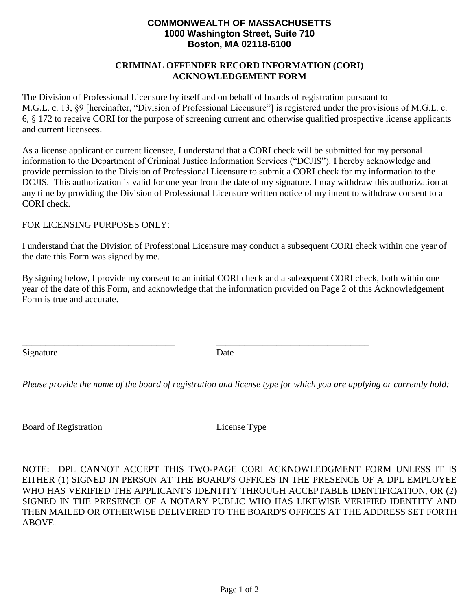# **COMMONWEALTH OF MASSACHUSETTS 1000 Washington Street, Suite 710 Boston, MA 02118-6100**

## **CRIMINAL OFFENDER RECORD INFORMATION (CORI) ACKNOWLEDGEMENT FORM**

The Division of Professional Licensure by itself and on behalf of boards of registration pursuant to M.G.L. c. 13, §9 [hereinafter, "Division of Professional Licensure"] is registered under the provisions of M.G.L. c. 6, § 172 to receive CORI for the purpose of screening current and otherwise qualified prospective license applicants and current licensees.

As a license applicant or current licensee, I understand that a CORI check will be submitted for my personal information to the Department of Criminal Justice Information Services ("DCJIS"). I hereby acknowledge and provide permission to the Division of Professional Licensure to submit a CORI check for my information to the DCJIS. This authorization is valid for one year from the date of my signature. I may withdraw this authorization at any time by providing the Division of Professional Licensure written notice of my intent to withdraw consent to a CORI check.

## FOR LICENSING PURPOSES ONLY:

I understand that the Division of Professional Licensure may conduct a subsequent CORI check within one year of the date this Form was signed by me.

By signing below, I provide my consent to an initial CORI check and a subsequent CORI check, both within one year of the date of this Form, and acknowledge that the information provided on Page 2 of this Acknowledgement Form is true and accurate.

Signature Date

\_\_\_\_\_\_\_\_\_\_\_\_\_\_\_\_\_\_\_\_\_\_\_\_\_\_\_\_\_\_\_\_\_ \_\_\_\_\_\_\_\_\_\_\_\_\_\_\_\_\_\_\_\_\_\_\_\_\_\_\_\_\_\_\_\_\_

\_\_\_\_\_\_\_\_\_\_\_\_\_\_\_\_\_\_\_\_\_\_\_\_\_\_\_\_\_\_\_\_\_ \_\_\_\_\_\_\_\_\_\_\_\_\_\_\_\_\_\_\_\_\_\_\_\_\_\_\_\_\_\_\_\_\_

*Please provide the name of the board of registration and license type for which you are applying or currently hold:*

Board of Registration License Type

NOTE: DPL CANNOT ACCEPT THIS TWO-PAGE CORI ACKNOWLEDGMENT FORM UNLESS IT IS EITHER (1) SIGNED IN PERSON AT THE BOARD'S OFFICES IN THE PRESENCE OF A DPL EMPLOYEE WHO HAS VERIFIED THE APPLICANT'S IDENTITY THROUGH ACCEPTABLE IDENTIFICATION, OR (2) SIGNED IN THE PRESENCE OF A NOTARY PUBLIC WHO HAS LIKEWISE VERIFIED IDENTITY AND THEN MAILED OR OTHERWISE DELIVERED TO THE BOARD'S OFFICES AT THE ADDRESS SET FORTH ABOVE.